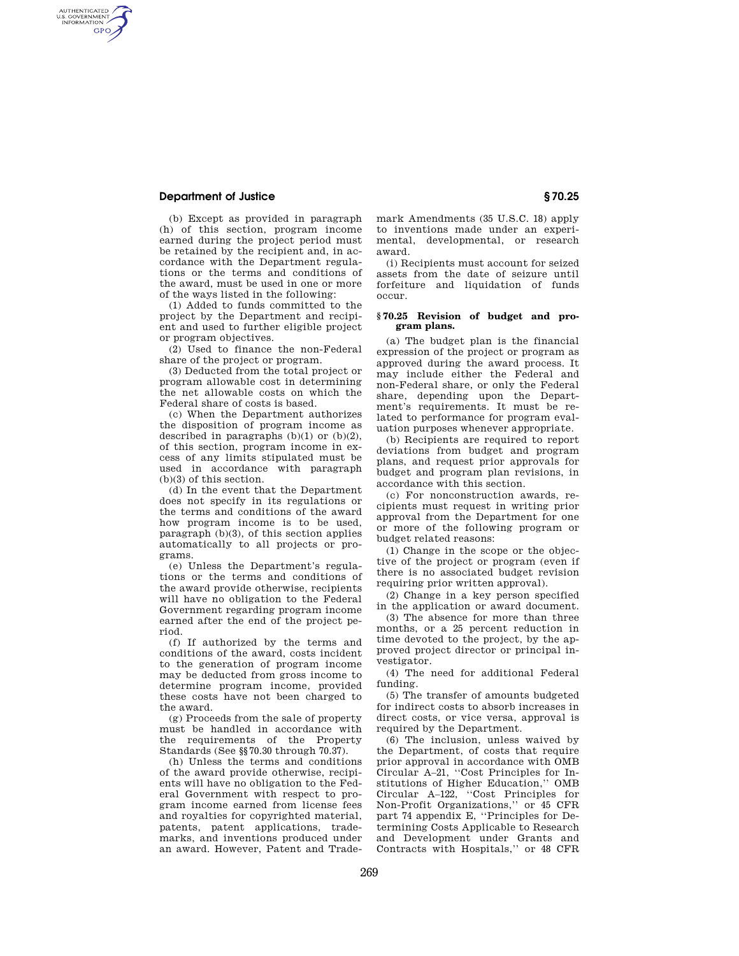## **Department of Justice § 70.25**

AUTHENTICATED<br>U.S. GOVERNMENT<br>INFORMATION **GPO** 

> (b) Except as provided in paragraph (h) of this section, program income earned during the project period must be retained by the recipient and, in accordance with the Department regulations or the terms and conditions of the award, must be used in one or more of the ways listed in the following:

> (1) Added to funds committed to the project by the Department and recipient and used to further eligible project or program objectives.

(2) Used to finance the non-Federal share of the project or program.

(3) Deducted from the total project or program allowable cost in determining the net allowable costs on which the Federal share of costs is based.

(c) When the Department authorizes the disposition of program income as described in paragraphs  $(b)(1)$  or  $(b)(2)$ , of this section, program income in excess of any limits stipulated must be used in accordance with paragraph (b)(3) of this section.

(d) In the event that the Department does not specify in its regulations or the terms and conditions of the award how program income is to be used, paragraph (b)(3), of this section applies automatically to all projects or programs.

(e) Unless the Department's regulations or the terms and conditions of the award provide otherwise, recipients will have no obligation to the Federal Government regarding program income earned after the end of the project period.

(f) If authorized by the terms and conditions of the award, costs incident to the generation of program income may be deducted from gross income to determine program income, provided these costs have not been charged to the award.

(g) Proceeds from the sale of property must be handled in accordance with the requirements of the Property Standards (See §§70.30 through 70.37).

(h) Unless the terms and conditions of the award provide otherwise, recipients will have no obligation to the Federal Government with respect to program income earned from license fees and royalties for copyrighted material, patents, patent applications, trademarks, and inventions produced under an award. However, Patent and Trademark Amendments (35 U.S.C. 18) apply to inventions made under an experimental, developmental, or research award.

(i) Recipients must account for seized assets from the date of seizure until forfeiture and liquidation of funds occur.

## **§ 70.25 Revision of budget and program plans.**

(a) The budget plan is the financial expression of the project or program as approved during the award process. It may include either the Federal and non-Federal share, or only the Federal share, depending upon the Department's requirements. It must be related to performance for program evaluation purposes whenever appropriate.

(b) Recipients are required to report deviations from budget and program plans, and request prior approvals for budget and program plan revisions, in accordance with this section.

(c) For nonconstruction awards, recipients must request in writing prior approval from the Department for one or more of the following program or budget related reasons:

(1) Change in the scope or the objective of the project or program (even if there is no associated budget revision requiring prior written approval).

(2) Change in a key person specified in the application or award document.

(3) The absence for more than three months, or a 25 percent reduction in time devoted to the project, by the approved project director or principal investigator.

(4) The need for additional Federal funding.

(5) The transfer of amounts budgeted for indirect costs to absorb increases in direct costs, or vice versa, approval is required by the Department.

(6) The inclusion, unless waived by the Department, of costs that require prior approval in accordance with OMB Circular A–21, ''Cost Principles for Institutions of Higher Education,'' OMB Circular A–122, ''Cost Principles for Non-Profit Organizations,'' or 45 CFR part 74 appendix E, ''Principles for Determining Costs Applicable to Research and Development under Grants and Contracts with Hospitals,'' or 48 CFR